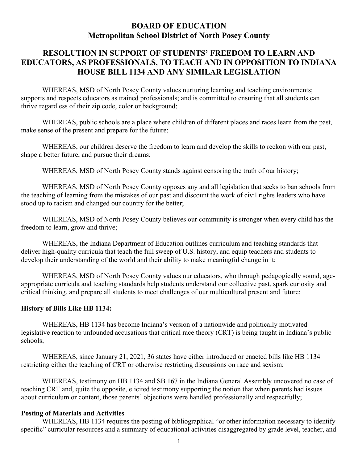# **BOARD OF EDUCATION Metropolitan School District of North Posey County**

# **RESOLUTION IN SUPPORT OF STUDENTS' FREEDOM TO LEARN AND EDUCATORS, AS PROFESSIONALS, TO TEACH AND IN OPPOSITION TO INDIANA HOUSE BILL 1134 AND ANY SIMILAR LEGISLATION**

WHEREAS, MSD of North Posey County values nurturing learning and teaching environments; supports and respects educators as trained professionals; and is committed to ensuring that all students can thrive regardless of their zip code, color or background;

WHEREAS, public schools are a place where children of different places and races learn from the past, make sense of the present and prepare for the future;

WHEREAS, our children deserve the freedom to learn and develop the skills to reckon with our past, shape a better future, and pursue their dreams;

WHEREAS, MSD of North Posey County stands against censoring the truth of our history;

WHEREAS, MSD of North Posey County opposes any and all legislation that seeks to ban schools from the teaching of learning from the mistakes of our past and discount the work of civil rights leaders who have stood up to racism and changed our country for the better;

WHEREAS, MSD of North Posey County believes our community is stronger when every child has the freedom to learn, grow and thrive;

WHEREAS, the Indiana Department of Education outlines curriculum and teaching standards that deliver high-quality curricula that teach the full sweep of U.S. history, and equip teachers and students to develop their understanding of the world and their ability to make meaningful change in it;

WHEREAS, MSD of North Posey County values our educators, who through pedagogically sound, ageappropriate curricula and teaching standards help students understand our collective past, spark curiosity and critical thinking, and prepare all students to meet challenges of our multicultural present and future;

### **History of Bills Like HB 1134:**

WHEREAS, HB 1134 has become Indiana's version of a nationwide and politically motivated legislative reaction to unfounded accusations that critical race theory (CRT) is being taught in Indiana's public schools;

WHEREAS, since January 21, 2021, 36 states have either introduced or enacted bills like HB 1134 restricting either the teaching of CRT or otherwise restricting discussions on race and sexism;

WHEREAS, testimony on HB 1134 and SB 167 in the Indiana General Assembly uncovered no case of teaching CRT and, quite the opposite, elicited testimony supporting the notion that when parents had issues about curriculum or content, those parents' objections were handled professionally and respectfully;

### **Posting of Materials and Activities**

WHEREAS, HB 1134 requires the posting of bibliographical "or other information necessary to identify specific" curricular resources and a summary of educational activities disaggregated by grade level, teacher, and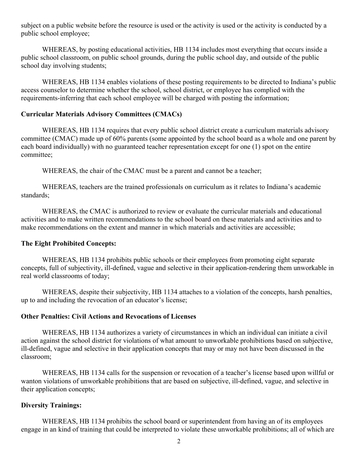subject on a public website before the resource is used or the activity is used or the activity is conducted by a public school employee;

WHEREAS, by posting educational activities, HB 1134 includes most everything that occurs inside a public school classroom, on public school grounds, during the public school day, and outside of the public school day involving students;

WHEREAS, HB 1134 enables violations of these posting requirements to be directed to Indiana's public access counselor to determine whether the school, school district, or employee has complied with the requirements-inferring that each school employee will be charged with posting the information;

#### **Curricular Materials Advisory Committees (CMACs)**

WHEREAS, HB 1134 requires that every public school district create a curriculum materials advisory committee (CMAC) made up of 60% parents (some appointed by the school board as a whole and one parent by each board individually) with no guaranteed teacher representation except for one (1) spot on the entire committee;

WHEREAS, the chair of the CMAC must be a parent and cannot be a teacher;

WHEREAS, teachers are the trained professionals on curriculum as it relates to Indiana's academic standards;

WHEREAS, the CMAC is authorized to review or evaluate the curricular materials and educational activities and to make written recommendations to the school board on these materials and activities and to make recommendations on the extent and manner in which materials and activities are accessible;

#### **The Eight Prohibited Concepts:**

WHEREAS, HB 1134 prohibits public schools or their employees from promoting eight separate concepts, full of subjectivity, ill-defined, vague and selective in their application-rendering them unworkable in real world classrooms of today;

WHEREAS, despite their subjectivity, HB 1134 attaches to a violation of the concepts, harsh penalties, up to and including the revocation of an educator's license;

#### **Other Penalties: Civil Actions and Revocations of Licenses**

WHEREAS, HB 1134 authorizes a variety of circumstances in which an individual can initiate a civil action against the school district for violations of what amount to unworkable prohibitions based on subjective, ill-defined, vague and selective in their application concepts that may or may not have been discussed in the classroom;

WHEREAS, HB 1134 calls for the suspension or revocation of a teacher's license based upon willful or wanton violations of unworkable prohibitions that are based on subjective, ill-defined, vague, and selective in their application concepts;

#### **Diversity Trainings:**

WHEREAS, HB 1134 prohibits the school board or superintendent from having an of its employees engage in an kind of training that could be interpreted to violate these unworkable prohibitions; all of which are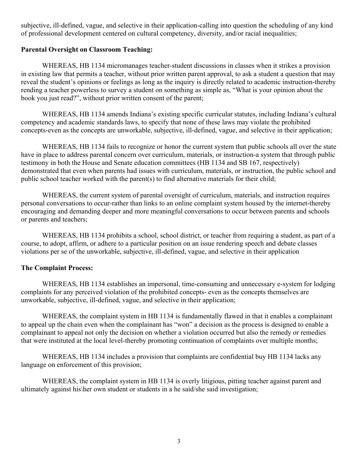subjective, ill-defined, vague, and selective in their application-calling into question the scheduling of any kind of professional development centered on cultural competency, diversity, and/or racial inequalities;

### **Parental Oversight on Classroom Teaching:**

WHEREAS, HB 1134 micromanages teacher-student discussions in classes when it strikes a provision in existing law that permits a teacher, without prior written parent approval, to ask a student a question that may reveal the student's opinions or feelings as long as the inquiry is directly related to academic instruction-thereby rending a teacher powerless to survey a student on something as simple as, "What is your opinion about the book you just read?", without prior written consent of the parent;

WHEREAS, HB 1134 amends Indiana's existing specific curricular statutes, including Indiana's cultural competency and academic standards laws, to specify that none of these laws may violate the prohibited concepts-even as the concepts are unworkable, subjective, ill-defined, vague, and selective in their application;

WHEREAS, HB 1134 fails to recognize or honor the current system that public schools all over the state have in place to address parental concern over curriculum, materials, or instruction-a system that through public testimony in both the House and Senate education committees (HB 1134 and SB 167, respectively) demonstrated that even when parents had issues with curriculum, materials, or instruction, the public school and public school teacher worked with the parent(s) to find alternative materials for their child;

WHEREAS, the current system of parental oversight of curriculum, materials, and instruction requires personal conversations to occur-rather than links to an online complaint system housed by the internet-thereby encouraging and demanding deeper and more meaningful conversations to occur between parents and schools or parents and teachers;

WHEREAS, HB 1134 prohibits a school, school district, or teacher from requiring a student, as part of a course, to adopt, affirm, or adhere to a particular position on an issue rendering speech and debate classes violations per se of the unworkable, subjective, ill-defined, vague, and selective in their application

### **The Complaint Process:**

WHEREAS, HB 1134 establishes an impersonal, time-consuming and unnecessary e-system for lodging complaints for any perceived violation of the prohibited concepts- even as the concepts themselves are unworkable, subjective, ill-defined, vague, and selective in their application;

WHEREAS, the complaint system in HB 1134 is fundamentally flawed in that it enables a complainant to appeal up the chain even when the complainant has "won" a decision as the process is designed to enable a complainant to appeal not only the decision on whether a violation occurred but also the remedy or remedies that were instituted at the local level-thereby promoting continuation of complaints over multiple months;

WHEREAS, HB 1134 includes a provision that complaints are confidential buy HB 1134 lacks any language on enforcement of this provision;

WHEREAS, the complaint system in HB 1134 is overly litigious, pitting teacher against parent and ultimately against his\her own student or students in a he said/she said investigation;